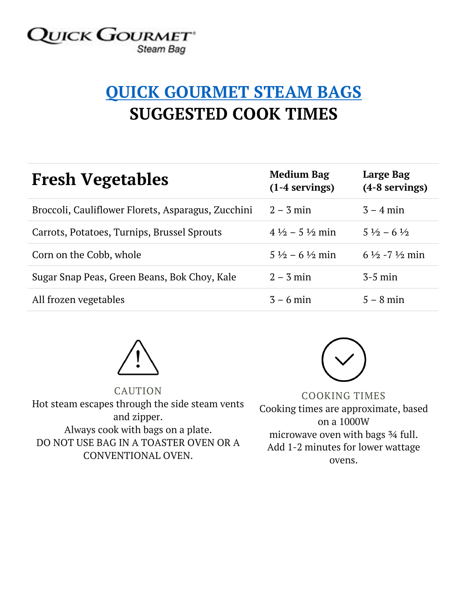## **QUICK GOURMET** Steam Bag

## **QUICK GOURMET STEAM BAGS SUGGESTED COOK TIMES**

| <b>Fresh Vegetables</b>                            | <b>Medium Bag</b><br>$(1-4$ servings) | Large Bag<br>(4-8 servings)         |
|----------------------------------------------------|---------------------------------------|-------------------------------------|
| Broccoli, Cauliflower Florets, Asparagus, Zucchini | $2 - 3$ min                           | $3 - 4$ min                         |
| Carrots, Potatoes, Turnips, Brussel Sprouts        | $4\frac{1}{2}$ – 5 $\frac{1}{2}$ min  | $5\frac{1}{2} - 6\frac{1}{2}$       |
| Corn on the Cobb, whole                            | $5\frac{1}{2}$ – 6 $\frac{1}{2}$ min  | $6\frac{1}{2}$ -7 $\frac{1}{2}$ min |
| Sugar Snap Peas, Green Beans, Bok Choy, Kale       | $2 - 3$ min                           | $3-5$ min                           |
| All frozen vegetables                              | $3 - 6$ min                           | $5 - 8$ min                         |



CAUTION Hot steam escapes through the side steam vents and zipper. Always cook with bags on a plate. DO NOT USE BAG IN A TOASTER OVEN OR A CONVENTIONAL OVEN.



COOKING TIMES Cooking times are approximate, based on a 1000W microwave oven with bags ¾ full. Add 1-2 minutes for lower wattage ovens.